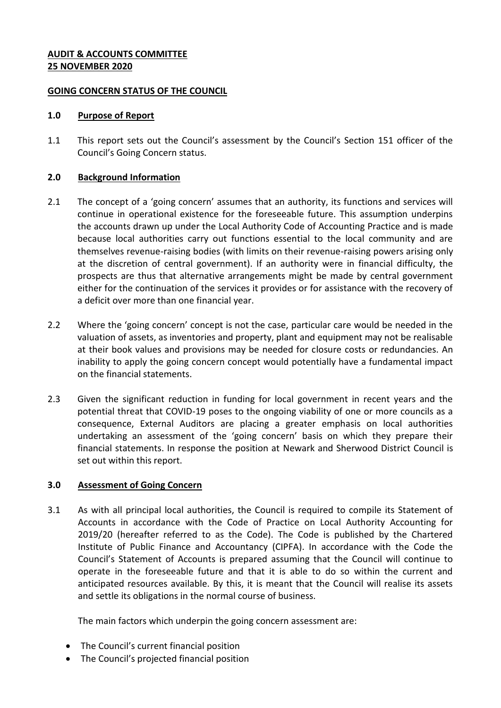#### **AUDIT & ACCOUNTS COMMITTEE 25 NOVEMBER 2020**

#### **GOING CONCERN STATUS OF THE COUNCIL**

#### **1.0 Purpose of Report**

1.1 This report sets out the Council's assessment by the Council's Section 151 officer of the Council's Going Concern status.

# **2.0 Background Information**

- 2.1 The concept of a 'going concern' assumes that an authority, its functions and services will continue in operational existence for the foreseeable future. This assumption underpins the accounts drawn up under the Local Authority Code of Accounting Practice and is made because local authorities carry out functions essential to the local community and are themselves revenue-raising bodies (with limits on their revenue-raising powers arising only at the discretion of central government). If an authority were in financial difficulty, the prospects are thus that alternative arrangements might be made by central government either for the continuation of the services it provides or for assistance with the recovery of a deficit over more than one financial year.
- 2.2 Where the 'going concern' concept is not the case, particular care would be needed in the valuation of assets, as inventories and property, plant and equipment may not be realisable at their book values and provisions may be needed for closure costs or redundancies. An inability to apply the going concern concept would potentially have a fundamental impact on the financial statements.
- 2.3 Given the significant reduction in funding for local government in recent years and the potential threat that COVID-19 poses to the ongoing viability of one or more councils as a consequence, External Auditors are placing a greater emphasis on local authorities undertaking an assessment of the 'going concern' basis on which they prepare their financial statements. In response the position at Newark and Sherwood District Council is set out within this report.

# **3.0 Assessment of Going Concern**

3.1 As with all principal local authorities, the Council is required to compile its Statement of Accounts in accordance with the Code of Practice on Local Authority Accounting for 2019/20 (hereafter referred to as the Code). The Code is published by the Chartered Institute of Public Finance and Accountancy (CIPFA). In accordance with the Code the Council's Statement of Accounts is prepared assuming that the Council will continue to operate in the foreseeable future and that it is able to do so within the current and anticipated resources available. By this, it is meant that the Council will realise its assets and settle its obligations in the normal course of business.

The main factors which underpin the going concern assessment are:

- The Council's current financial position
- The Council's projected financial position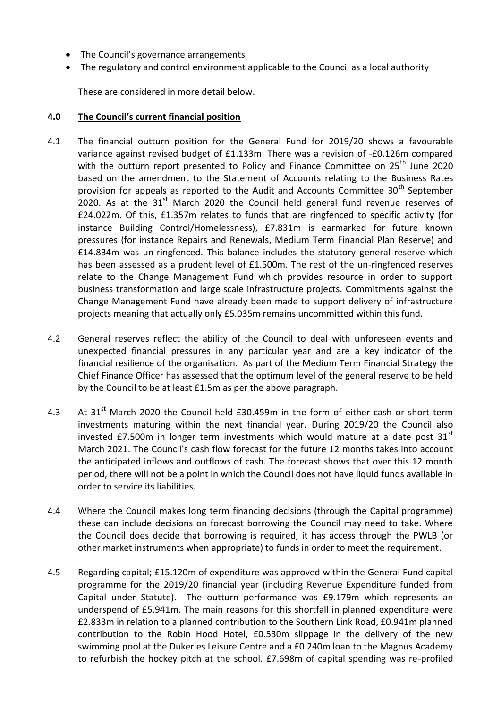- The Council's governance arrangements
- The regulatory and control environment applicable to the Council as a local authority

These are considered in more detail below.

#### **4.0 The Council's current financial position**

- 4.1 The financial outturn position for the General Fund for 2019/20 shows a favourable variance against revised budget of £1.133m. There was a revision of -£0.126m compared with the outturn report presented to Policy and Finance Committee on  $25<sup>th</sup>$  June 2020 based on the amendment to the Statement of Accounts relating to the Business Rates provision for appeals as reported to the Audit and Accounts Committee  $30<sup>th</sup>$  September 2020. As at the  $31<sup>st</sup>$  March 2020 the Council held general fund revenue reserves of £24.022m. Of this, £1.357m relates to funds that are ringfenced to specific activity (for instance Building Control/Homelessness), £7.831m is earmarked for future known pressures (for instance Repairs and Renewals, Medium Term Financial Plan Reserve) and £14.834m was un-ringfenced. This balance includes the statutory general reserve which has been assessed as a prudent level of £1.500m. The rest of the un-ringfenced reserves relate to the Change Management Fund which provides resource in order to support business transformation and large scale infrastructure projects. Commitments against the Change Management Fund have already been made to support delivery of infrastructure projects meaning that actually only £5.035m remains uncommitted within this fund.
- 4.2 General reserves reflect the ability of the Council to deal with unforeseen events and unexpected financial pressures in any particular year and are a key indicator of the financial resilience of the organisation. As part of the Medium Term Financial Strategy the Chief Finance Officer has assessed that the optimum level of the general reserve to be held by the Council to be at least £1.5m as per the above paragraph.
- 4.3 At 31<sup>st</sup> March 2020 the Council held £30.459m in the form of either cash or short term investments maturing within the next financial year. During 2019/20 the Council also invested £7.500m in longer term investments which would mature at a date post  $31<sup>st</sup>$ March 2021. The Council's cash flow forecast for the future 12 months takes into account the anticipated inflows and outflows of cash. The forecast shows that over this 12 month period, there will not be a point in which the Council does not have liquid funds available in order to service its liabilities.
- 4.4 Where the Council makes long term financing decisions (through the Capital programme) these can include decisions on forecast borrowing the Council may need to take. Where the Council does decide that borrowing is required, it has access through the PWLB (or other market instruments when appropriate) to funds in order to meet the requirement.
- 4.5 Regarding capital; £15.120m of expenditure was approved within the General Fund capital programme for the 2019/20 financial year (including Revenue Expenditure funded from Capital under Statute). The outturn performance was £9.179m which represents an underspend of £5.941m. The main reasons for this shortfall in planned expenditure were £2.833m in relation to a planned contribution to the Southern Link Road, £0.941m planned contribution to the Robin Hood Hotel, £0.530m slippage in the delivery of the new swimming pool at the Dukeries Leisure Centre and a £0.240m loan to the Magnus Academy to refurbish the hockey pitch at the school. £7.698m of capital spending was re-profiled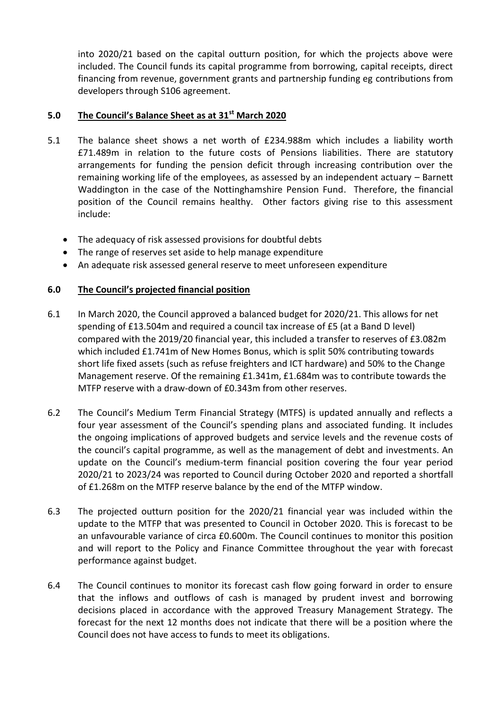into 2020/21 based on the capital outturn position, for which the projects above were included. The Council funds its capital programme from borrowing, capital receipts, direct financing from revenue, government grants and partnership funding eg contributions from developers through S106 agreement.

# **5.0 The Council's Balance Sheet as at 31st March 2020**

- 5.1 The balance sheet shows a net worth of £234.988m which includes a liability worth £71.489m in relation to the future costs of Pensions liabilities. There are statutory arrangements for funding the pension deficit through increasing contribution over the remaining working life of the employees, as assessed by an independent actuary – Barnett Waddington in the case of the Nottinghamshire Pension Fund. Therefore, the financial position of the Council remains healthy. Other factors giving rise to this assessment include:
	- The adequacy of risk assessed provisions for doubtful debts
	- The range of reserves set aside to help manage expenditure
	- An adequate risk assessed general reserve to meet unforeseen expenditure

# **6.0 The Council's projected financial position**

- 6.1 In March 2020, the Council approved a balanced budget for 2020/21. This allows for net spending of £13.504m and required a council tax increase of £5 (at a Band D level) compared with the 2019/20 financial year, this included a transfer to reserves of £3.082m which included £1.741m of New Homes Bonus, which is split 50% contributing towards short life fixed assets (such as refuse freighters and ICT hardware) and 50% to the Change Management reserve. Of the remaining £1.341m, £1.684m was to contribute towards the MTFP reserve with a draw-down of £0.343m from other reserves.
- 6.2 The Council's Medium Term Financial Strategy (MTFS) is updated annually and reflects a four year assessment of the Council's spending plans and associated funding. It includes the ongoing implications of approved budgets and service levels and the revenue costs of the council's capital programme, as well as the management of debt and investments. An update on the Council's medium-term financial position covering the four year period 2020/21 to 2023/24 was reported to Council during October 2020 and reported a shortfall of £1.268m on the MTFP reserve balance by the end of the MTFP window.
- 6.3 The projected outturn position for the 2020/21 financial year was included within the update to the MTFP that was presented to Council in October 2020. This is forecast to be an unfavourable variance of circa £0.600m. The Council continues to monitor this position and will report to the Policy and Finance Committee throughout the year with forecast performance against budget.
- 6.4 The Council continues to monitor its forecast cash flow going forward in order to ensure that the inflows and outflows of cash is managed by prudent invest and borrowing decisions placed in accordance with the approved Treasury Management Strategy. The forecast for the next 12 months does not indicate that there will be a position where the Council does not have access to funds to meet its obligations.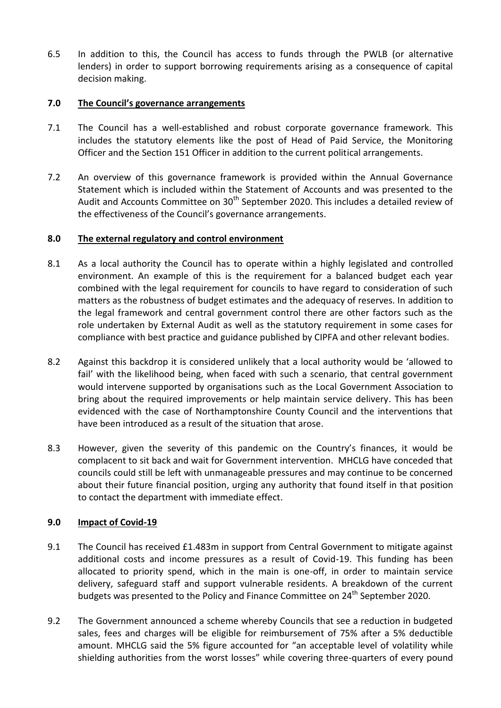6.5 In addition to this, the Council has access to funds through the PWLB (or alternative lenders) in order to support borrowing requirements arising as a consequence of capital decision making.

## **7.0 The Council's governance arrangements**

- 7.1 The Council has a well-established and robust corporate governance framework. This includes the statutory elements like the post of Head of Paid Service, the Monitoring Officer and the Section 151 Officer in addition to the current political arrangements.
- 7.2 An overview of this governance framework is provided within the Annual Governance Statement which is included within the Statement of Accounts and was presented to the Audit and Accounts Committee on  $30<sup>th</sup>$  September 2020. This includes a detailed review of the effectiveness of the Council's governance arrangements.

## **8.0 The external regulatory and control environment**

- 8.1 As a local authority the Council has to operate within a highly legislated and controlled environment. An example of this is the requirement for a balanced budget each year combined with the legal requirement for councils to have regard to consideration of such matters as the robustness of budget estimates and the adequacy of reserves. In addition to the legal framework and central government control there are other factors such as the role undertaken by External Audit as well as the statutory requirement in some cases for compliance with best practice and guidance published by CIPFA and other relevant bodies.
- 8.2 Against this backdrop it is considered unlikely that a local authority would be 'allowed to fail' with the likelihood being, when faced with such a scenario, that central government would intervene supported by organisations such as the Local Government Association to bring about the required improvements or help maintain service delivery. This has been evidenced with the case of Northamptonshire County Council and the interventions that have been introduced as a result of the situation that arose.
- 8.3 However, given the severity of this pandemic on the Country's finances, it would be complacent to sit back and wait for Government intervention. MHCLG have conceded that councils could still be left with unmanageable pressures and may continue to be concerned about their future financial position, urging any authority that found itself in that position to contact the department with immediate effect.

# **9.0 Impact of Covid-19**

- 9.1 The Council has received £1.483m in support from Central Government to mitigate against additional costs and income pressures as a result of Covid-19. This funding has been allocated to priority spend, which in the main is one-off, in order to maintain service delivery, safeguard staff and support vulnerable residents. A breakdown of the current budgets was presented to the Policy and Finance Committee on  $24<sup>th</sup>$  September 2020.
- 9.2 The Government announced a scheme whereby Councils that see a reduction in budgeted sales, fees and charges will be eligible for reimbursement of 75% after a 5% deductible amount. MHCLG said the 5% figure accounted for "an acceptable level of volatility while shielding authorities from the worst losses" while covering three-quarters of every pound